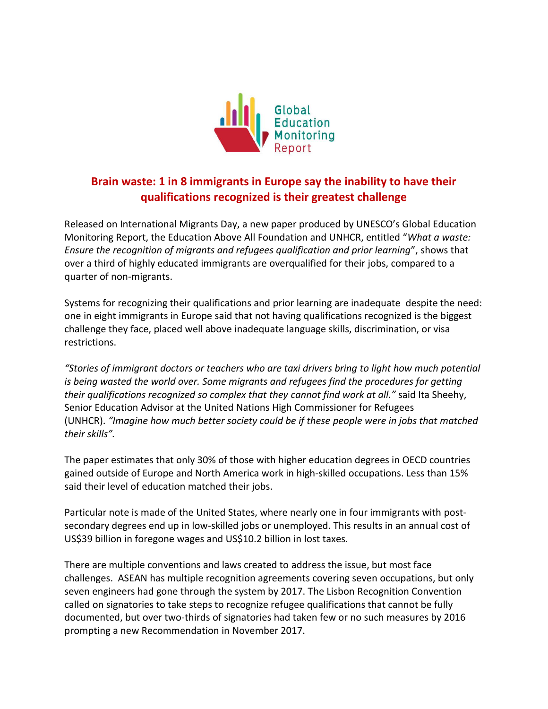

## **Brain waste: 1 in 8 immigrants in Europe say the inability to have their qualifications recognized is their greatest challenge**

Released on International Migrants Day, a new paper produced by UNESCO's Global Education Monitoring Report, the Education Above All Foundation and UNHCR, entitled "*What a waste: Ensure the recognition of migrants and refugees qualification and prior learning*", shows that over a third of highly educated immigrants are overqualified for their jobs, compared to a quarter of non-migrants.

Systems for recognizing their qualifications and prior learning are inadequate despite the need: one in eight immigrants in Europe said that not having qualifications recognized is the biggest challenge they face, placed well above inadequate language skills, discrimination, or visa restrictions.

*"Stories of immigrant doctors or teachers who are taxi drivers bring to light how much potential is being wasted the world over. Some migrants and refugees find the procedures for getting their qualifications recognized so complex that they cannot find work at all."* said Ita Sheehy, Senior Education Advisor at the United Nations High Commissioner for Refugees (UNHCR). *"Imagine how much better society could be if these people were in jobs that matched their skills".*

The paper estimates that only 30% of those with higher education degrees in OECD countries gained outside of Europe and North America work in high-skilled occupations. Less than 15% said their level of education matched their jobs.

Particular note is made of the United States, where nearly one in four immigrants with postsecondary degrees end up in low-skilled jobs or unemployed. This results in an annual cost of US\$39 billion in foregone wages and US\$10.2 billion in lost taxes.

There are multiple conventions and laws created to address the issue, but most face challenges. ASEAN has multiple recognition agreements covering seven occupations, but only seven engineers had gone through the system by 2017. The Lisbon Recognition Convention called on signatories to take steps to recognize refugee qualifications that cannot be fully documented, but over two-thirds of signatories had taken few or no such measures by 2016 prompting a new Recommendation in November 2017.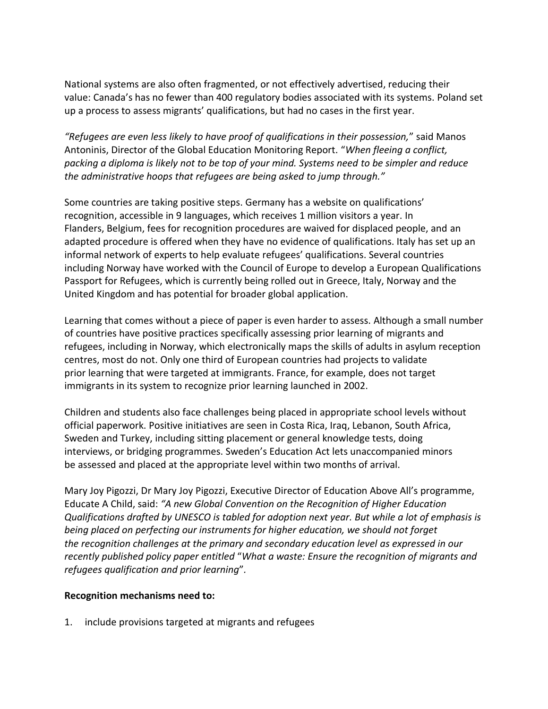National systems are also often fragmented, or not effectively advertised, reducing their value: Canada's has no fewer than 400 regulatory bodies associated with its systems. Poland set up a process to assess migrants' qualifications, but had no cases in the first year.

*"Refugees are even less likely to have proof of qualifications in their possession,*" said Manos Antoninis, Director of the Global Education Monitoring Report. "*When fleeing a conflict, packing a diploma is likely not to be top of your mind. Systems need to be simpler and reduce the administrative hoops that refugees are being asked to jump through."*

Some countries are taking positive steps. Germany has a website on qualifications' recognition, accessible in 9 languages, which receives 1 million visitors a year. In Flanders, Belgium, fees for recognition procedures are waived for displaced people, and an adapted procedure is offered when they have no evidence of qualifications. Italy has set up an informal network of experts to help evaluate refugees' qualifications. Several countries including Norway have worked with the Council of Europe to develop a European Qualifications Passport for Refugees, which is currently being rolled out in Greece, Italy, Norway and the United Kingdom and has potential for broader global application.

Learning that comes without a piece of paper is even harder to assess. Although a small number of countries have positive practices specifically assessing prior learning of migrants and refugees, including in Norway, which electronically maps the skills of adults in asylum reception centres, most do not. Only one third of European countries had projects to validate prior learning that were targeted at immigrants. France, for example, does not target immigrants in its system to recognize prior learning launched in 2002.

Children and students also face challenges being placed in appropriate school levels without official paperwork. Positive initiatives are seen in Costa Rica, Iraq, Lebanon, South Africa, Sweden and Turkey, including sitting placement or general knowledge tests, doing interviews, or bridging programmes. Sweden's Education Act lets unaccompanied minors be assessed and placed at the appropriate level within two months of arrival.

Mary Joy Pigozzi, Dr Mary Joy Pigozzi, Executive Director of Education Above All's programme, Educate A Child, said: *"A new Global Convention on the Recognition of Higher Education Qualifications drafted by UNESCO is tabled for adoption next year. But while a lot of emphasis is being placed on perfecting our instruments for higher education, we should not forget the recognition challenges at the primary and secondary education level as expressed in our recently published policy paper entitled* "*What a waste: Ensure the recognition of migrants and refugees qualification and prior learning*"*.*

## **Recognition mechanisms need to:**

1. include provisions targeted at migrants and refugees